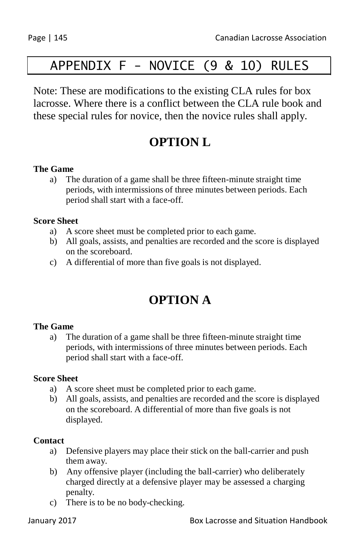# APPENDIX F - NOVICE (9 & 10) RULES

Note: These are modifications to the existing CLA rules for box lacrosse. Where there is a conflict between the CLA rule book and these special rules for novice, then the novice rules shall apply.

## **OPTION L**

### **The Game**

a) The duration of a game shall be three fifteen-minute straight time periods, with intermissions of three minutes between periods. Each period shall start with a face-off.

### **Score Sheet**

- a) A score sheet must be completed prior to each game.
- b) All goals, assists, and penalties are recorded and the score is displayed on the scoreboard.
- c) A differential of more than five goals is not displayed.

## **OPTION A**

### **The Game**

a) The duration of a game shall be three fifteen-minute straight time periods, with intermissions of three minutes between periods. Each period shall start with a face-off.

### **Score Sheet**

- a) A score sheet must be completed prior to each game.
- b) All goals, assists, and penalties are recorded and the score is displayed on the scoreboard. A differential of more than five goals is not displayed.

### **Contact**

- a) Defensive players may place their stick on the ball-carrier and push them away.
- b) Any offensive player (including the ball-carrier) who deliberately charged directly at a defensive player may be assessed a charging penalty.
- c) There is to be no body-checking.